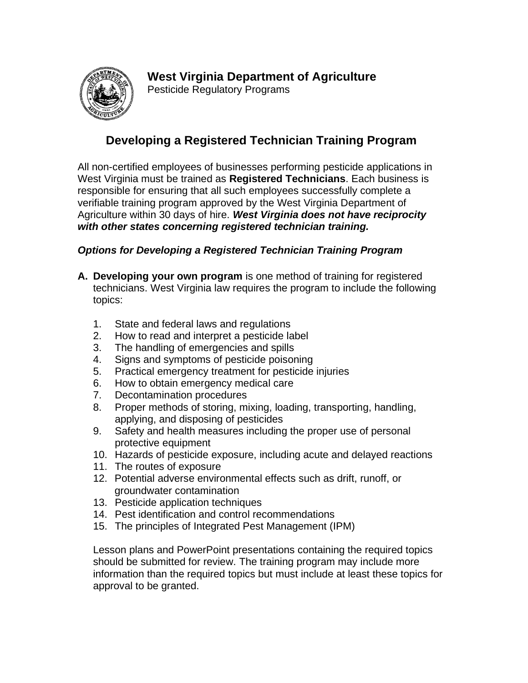[Pesticide Regulatory Programs](http://images.google.com/imgres?imgurl=http://www.wvsos.com/images/execrecords/sealfront.gif&imgrefurl=http://www.wvsos.com/execrecords/wvseal.htm&h=255&w=250&sz=25&tbnid=QUHRP7VGPRgJ:&tbnh=105&tbnw=103&start=1&prev=/images%3Fq%3DWest%2BVirginia%2BSeal%26hl%3Den%26lr%3D%26sa%3DG)



## **Developing a Registered Technician Training Program**

All non-certified employees of businesses performing pesticide applications in West Virginia must be trained as **Registered Technicians**. Each business is responsible for ensuring that all such employees successfully complete a verifiable training program approved by the West Virginia Department of Agriculture within 30 days of hire. *West Virginia does not have reciprocity with other states concerning registered technician training.*

## *Options for Developing a Registered Technician Training Program*

- **A. Developing your own program** is one method of training for registered technicians. West Virginia law requires the program to include the following topics:
	- 1. State and federal laws and regulations
	- 2. How to read and interpret a pesticide label
	- 3. The handling of emergencies and spills
	- 4. Signs and symptoms of pesticide poisoning
	- 5. Practical emergency treatment for pesticide injuries
	- 6. How to obtain emergency medical care
	- 7. Decontamination procedures
	- 8. Proper methods of storing, mixing, loading, transporting, handling, applying, and disposing of pesticides
	- 9. Safety and health measures including the proper use of personal protective equipment
	- 10. Hazards of pesticide exposure, including acute and delayed reactions
	- 11. The routes of exposure
	- 12. Potential adverse environmental effects such as drift, runoff, or groundwater contamination
	- 13. Pesticide application techniques
	- 14. Pest identification and control recommendations
	- 15. The principles of Integrated Pest Management (IPM)

Lesson plans and PowerPoint presentations containing the required topics should be submitted for review. The training program may include more information than the required topics but must include at least these topics for approval to be granted.